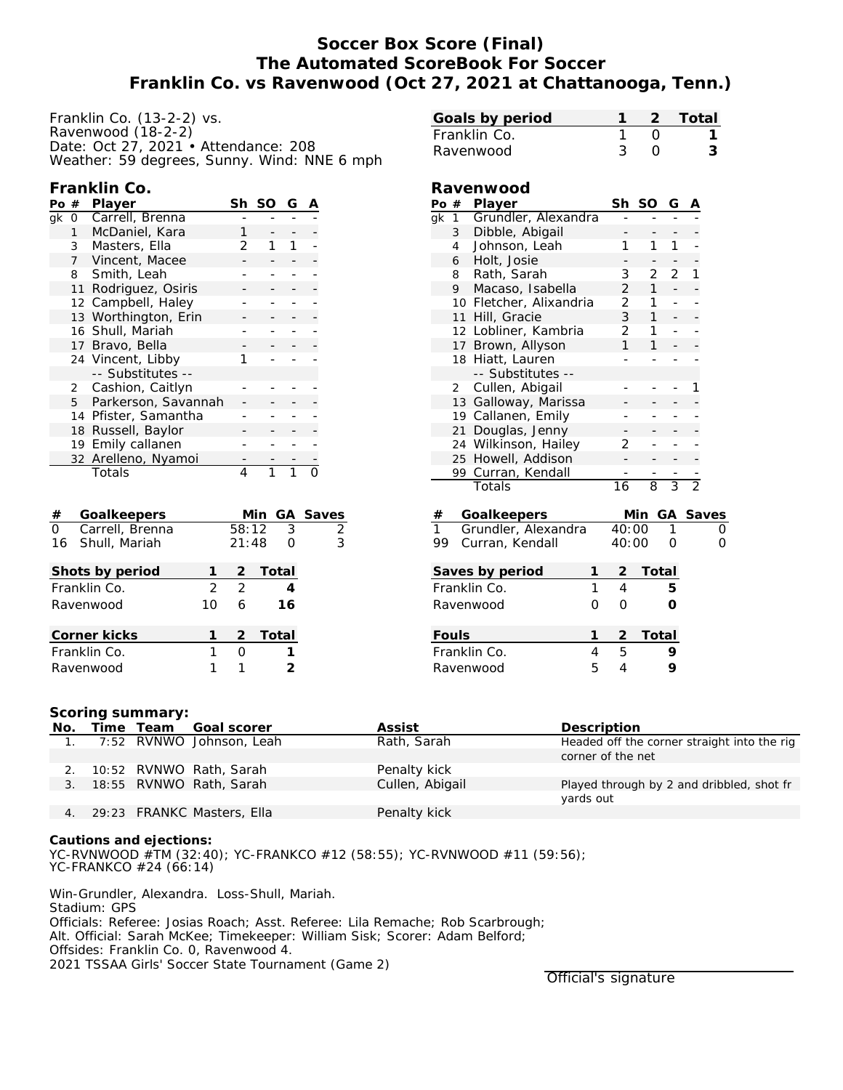# **Soccer Box Score (Final) The Automated ScoreBook For Soccer Franklin Co. vs Ravenwood (Oct 27, 2021 at Chattanooga, Tenn.)**

| Franklin Co. (13-2-2) vs.                   |
|---------------------------------------------|
| Ravenwood (18-2-2)                          |
| Date: Oct 27, 2021 • Attendance: 208        |
| Weather: 59 degrees, Sunny. Wind: NNE 6 mph |

## **Franklin Co.**

| #            | Player              | Sh                                                                                                                                                                                                                                   | SO | G |  |
|--------------|---------------------|--------------------------------------------------------------------------------------------------------------------------------------------------------------------------------------------------------------------------------------|----|---|--|
| 0            | Carrell, Brenna     |                                                                                                                                                                                                                                      |    |   |  |
| $\mathbf{1}$ | McDaniel, Kara      |                                                                                                                                                                                                                                      |    |   |  |
| 3            | Masters, Ella       | 2                                                                                                                                                                                                                                    |    |   |  |
|              | Vincent, Macee      |                                                                                                                                                                                                                                      |    |   |  |
| 8            |                     |                                                                                                                                                                                                                                      |    |   |  |
| 11           | Rodriguez, Osiris   |                                                                                                                                                                                                                                      |    |   |  |
|              |                     |                                                                                                                                                                                                                                      |    |   |  |
|              |                     |                                                                                                                                                                                                                                      |    |   |  |
|              |                     |                                                                                                                                                                                                                                      |    |   |  |
|              |                     |                                                                                                                                                                                                                                      |    |   |  |
|              |                     |                                                                                                                                                                                                                                      |    |   |  |
|              | -- Substitutes --   |                                                                                                                                                                                                                                      |    |   |  |
|              |                     |                                                                                                                                                                                                                                      |    |   |  |
|              | Parkerson, Savannah |                                                                                                                                                                                                                                      |    |   |  |
|              |                     |                                                                                                                                                                                                                                      |    |   |  |
| 18           |                     |                                                                                                                                                                                                                                      |    |   |  |
| 19           | Emily callanen      |                                                                                                                                                                                                                                      |    |   |  |
|              |                     |                                                                                                                                                                                                                                      |    |   |  |
|              | Totals              | 4                                                                                                                                                                                                                                    |    |   |  |
|              |                     | 7 <sup>7</sup><br>Smith, Leah<br>12 Campbell, Haley<br>13 Worthington, Erin<br>16 Shull, Mariah<br>17 Bravo, Bella<br>24 Vincent, Libby<br>2 Cashion, Caitlyn<br>5<br>14 Pfister, Samantha<br>Russell, Baylor<br>32 Arelleno, Nyamoi |    |   |  |

| $^{\#}$        | Goalkeepers      |    |       | Min GA Saves |   |
|----------------|------------------|----|-------|--------------|---|
| $\overline{0}$ | Carrell, Brenna  |    | 58:12 | -3           | 2 |
|                | 16 Shull, Mariah |    | 21:48 |              | 3 |
|                | Shots by period  |    | 2     | Total        |   |
|                | Franklin Co.     | 2  | 2     |              |   |
|                | Ravenwood        | 10 | 6     | 16           |   |
|                | Corner kicks     |    |       | 2 Total      |   |
|                | Franklin Co.     |    |       |              |   |
|                | Ravenwood        |    |       |              |   |

| Ravenwood |                                   |                         |                |                |                |                |                |          |
|-----------|-----------------------------------|-------------------------|----------------|----------------|----------------|----------------|----------------|----------|
|           | Po #                              | Player                  |                |                | Sh SO          | G              |                |          |
| qk        | $1 -$                             | Grundler, Alexandra     |                |                |                |                |                |          |
|           | Dibble, Abigail<br>3 <sup>7</sup> |                         |                |                |                |                |                |          |
|           | 4                                 | Johnson, Leah           |                | 1              | 1              | 1              |                |          |
|           | 6                                 | Holt, Josie             |                |                |                |                |                |          |
|           | 8                                 | Rath, Sarah             |                | 3              | $\overline{2}$ | 2              | 1              |          |
|           | 9                                 | Macaso, Isabella        |                | $\frac{2}{2}$  | $\mathbf{1}$   |                |                |          |
|           |                                   | 10 Fletcher, Alixandria |                |                | 1              |                |                |          |
|           | 11                                | Hill, Gracie            |                | 3              | $\mathbf{1}$   |                |                |          |
|           | 12                                | Lobliner, Kambria       |                | 2              | $\mathbf{1}$   | -              |                |          |
|           | 17                                | Brown, Allyson          |                | 1              | 1              |                |                |          |
|           | 18                                | Hiatt, Lauren           |                |                |                | ۰              |                |          |
|           |                                   | -- Substitutes --       |                |                |                |                |                |          |
|           | $\overline{2}$                    | Cullen, Abigail         |                |                |                |                | 1              |          |
|           | 13 Galloway, Marissa              |                         |                |                |                |                |                |          |
|           |                                   | 19 Callanen, Emily      |                |                |                |                |                |          |
|           | 21                                | Douglas, Jenny          |                | 2              |                |                |                |          |
|           | Wilkinson, Hailey<br>24           |                         |                |                |                |                |                |          |
|           | Howell, Addison<br>25             |                         |                |                |                |                |                |          |
|           | Curran, Kendall<br>99             |                         |                |                |                |                |                |          |
|           |                                   | Totals                  |                | 16             | 8              | $\overline{3}$ | $\overline{2}$ |          |
| $^{\#}$   |                                   | Goalkeepers             |                |                | Min            |                |                | GA Saves |
| 1         |                                   | Grundler, Alexandra     |                | 40:00          |                | 1              |                | Ο        |
| 99        |                                   | Curran, Kendall         |                | 40:00          |                | Ω              |                | O        |
|           |                                   | Saves by period         | 1              | <u>2</u>       | Total          |                |                |          |
|           |                                   | Franklin Co.            | $\overline{1}$ | $\overline{4}$ |                | 5              |                |          |
|           |                                   | Ravenwood               | 0              | 0              |                | Ο              |                |          |
|           |                                   |                         | 1              | 2              | <b>Total</b>   |                |                |          |
|           | Fouls<br>Franklin Co.<br>4        |                         |                |                |                | 9              |                |          |
|           |                                   |                         |                | 5              |                |                |                |          |
|           | 5<br>Ravenwood                    |                         |                | 4              |                | 9              |                |          |

**Goals by period 1 2 Total** Franklin Co. 1 0 1 Ravenwood 3 0 3

#### **Scoring summary:**

| No.            | Time Team | Goal scorer                | Assist          | Description                                 |
|----------------|-----------|----------------------------|-----------------|---------------------------------------------|
| $\mathbf{1}$ . |           | 7:52 RVNWO Johnson, Leah   | Rath, Sarah     | Headed off the corner straight into the rig |
|                |           |                            |                 | corner of the net                           |
|                |           | 10:52 RVNWO Rath, Sarah    | Penalty kick    |                                             |
| 3.             |           | 18:55 RVNWO Rath, Sarah    | Cullen, Abigail | Played through by 2 and dribbled, shot fr   |
|                |           |                            |                 | yards out                                   |
|                |           | 29:23 FRANKC Masters, Ella | Penalty kick    |                                             |

**Cautions and ejections:** YC-RVNWOOD #TM (32:40); YC-FRANKCO #12 (58:55); YC-RVNWOOD #11 (59:56); YC-FRANKCO #24 (66:14)

Win-Grundler, Alexandra. Loss-Shull, Mariah. Stadium: GPS Officials: Referee: Josias Roach; Asst. Referee: Lila Remache; Rob Scarbrough; Alt. Official: Sarah McKee; Timekeeper: William Sisk; Scorer: Adam Belford; Offsides: Franklin Co. 0, Ravenwood 4. 2021 TSSAA Girls' Soccer State Tournament (Game 2)

Official's signature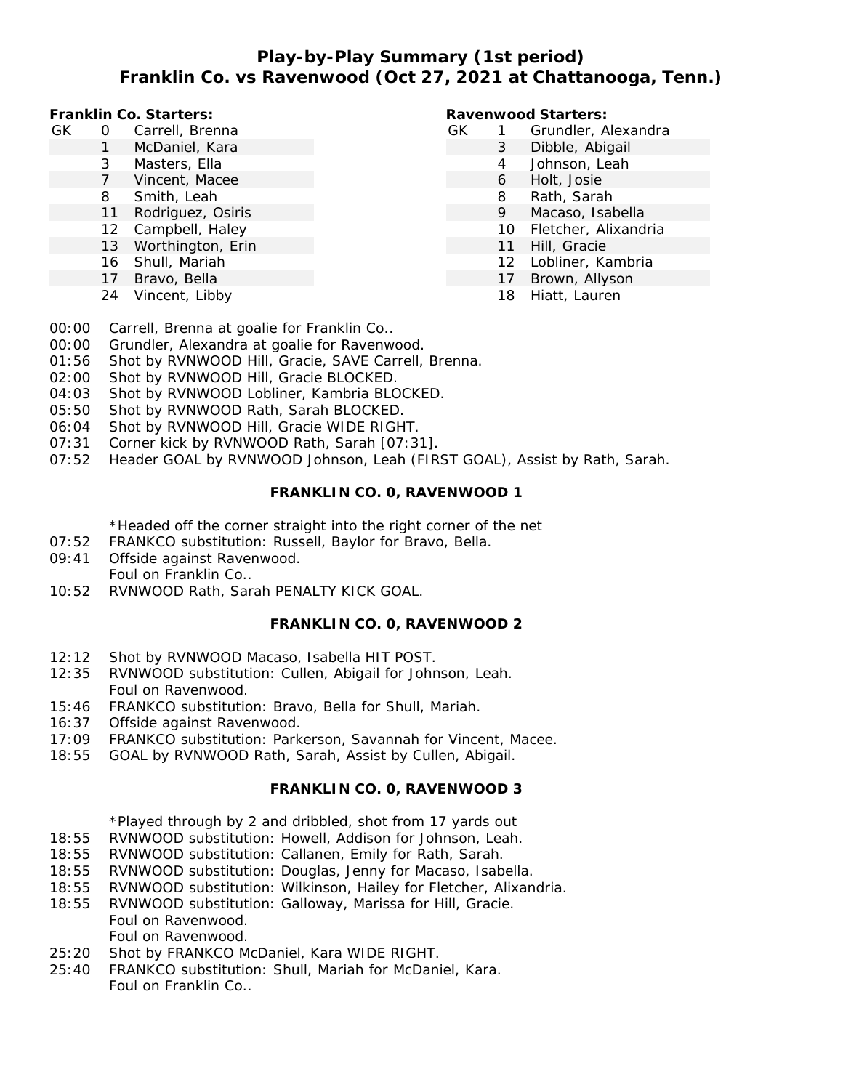# **Play-by-Play Summary (1st period) Franklin Co. vs Ravenwood (Oct 27, 2021 at Chattanooga, Tenn.)**

**Franklin Co. Starters:**

- GK 0 Carrell, Brenna
	- 1 McDaniel, Kara
	- 3 Masters, Ella
	- 7 Vincent, Macee
	- 8 Smith, Leah
	- 11 Rodriguez, Osiris
	- 12 Campbell, Haley
	- 13 Worthington, Erin
	- 16 Shull, Mariah
	- 17 Bravo, Bella
	- 24 Vincent, Libby

#### **Ravenwood Starters:**

- GK 1 Grundler, Alexandra
	- 3 Dibble, Abigail
		- 4 Johnson, Leah
			- 6 Holt, Josie
			- 8 Rath, Sarah
			- 9 Macaso, Isabella
			- 10 Fletcher, Alixandria
			- 11 Hill, Gracie
			- 12 Lobliner, Kambria
				- 17 Brown, Allyson
				- 18 Hiatt, Lauren
- 00:00 Carrell, Brenna at goalie for Franklin Co..
- 00:00 Grundler, Alexandra at goalie for Ravenwood.
- 01:56 Shot by RVNWOOD Hill, Gracie, SAVE Carrell, Brenna.
- 02:00 Shot by RVNWOOD Hill, Gracie BLOCKED.
- 04:03 Shot by RVNWOOD Lobliner, Kambria BLOCKED.
- 05:50 Shot by RVNWOOD Rath, Sarah BLOCKED.
- 06:04 Shot by RVNWOOD Hill, Gracie WIDE RIGHT.
- 07:31 Corner kick by RVNWOOD Rath, Sarah [07:31].
- 07:52 Header GOAL by RVNWOOD Johnson, Leah (FIRST GOAL), Assist by Rath, Sarah.

#### **FRANKLIN CO. 0, RAVENWOOD 1**

\*Headed off the corner straight into the right corner of the net

- 07:52 FRANKCO substitution: Russell, Baylor for Bravo, Bella.
- 09:41 Offside against Ravenwood. Foul on Franklin Co..
- 10:52 RVNWOOD Rath, Sarah PENALTY KICK GOAL.

#### **FRANKLIN CO. 0, RAVENWOOD 2**

- 12:12 Shot by RVNWOOD Macaso, Isabella HIT POST.
- 12:35 RVNWOOD substitution: Cullen, Abigail for Johnson, Leah. Foul on Ravenwood.
- 15:46 FRANKCO substitution: Bravo, Bella for Shull, Mariah.
- 16:37 Offside against Ravenwood.
- 17:09 FRANKCO substitution: Parkerson, Savannah for Vincent, Macee.
- 18:55 GOAL by RVNWOOD Rath, Sarah, Assist by Cullen, Abigail.

## **FRANKLIN CO. 0, RAVENWOOD 3**

## \*Played through by 2 and dribbled, shot from 17 yards out

- 18:55 RVNWOOD substitution: Howell, Addison for Johnson, Leah.
- 18:55 RVNWOOD substitution: Callanen, Emily for Rath, Sarah.
- 18:55 RVNWOOD substitution: Douglas, Jenny for Macaso, Isabella.
- 18:55 RVNWOOD substitution: Wilkinson, Hailey for Fletcher, Alixandria.
- 18:55 RVNWOOD substitution: Galloway, Marissa for Hill, Gracie. Foul on Ravenwood. Foul on Ravenwood.
- 25:20 Shot by FRANKCO McDaniel, Kara WIDE RIGHT.
- 25:40 FRANKCO substitution: Shull, Mariah for McDaniel, Kara. Foul on Franklin Co..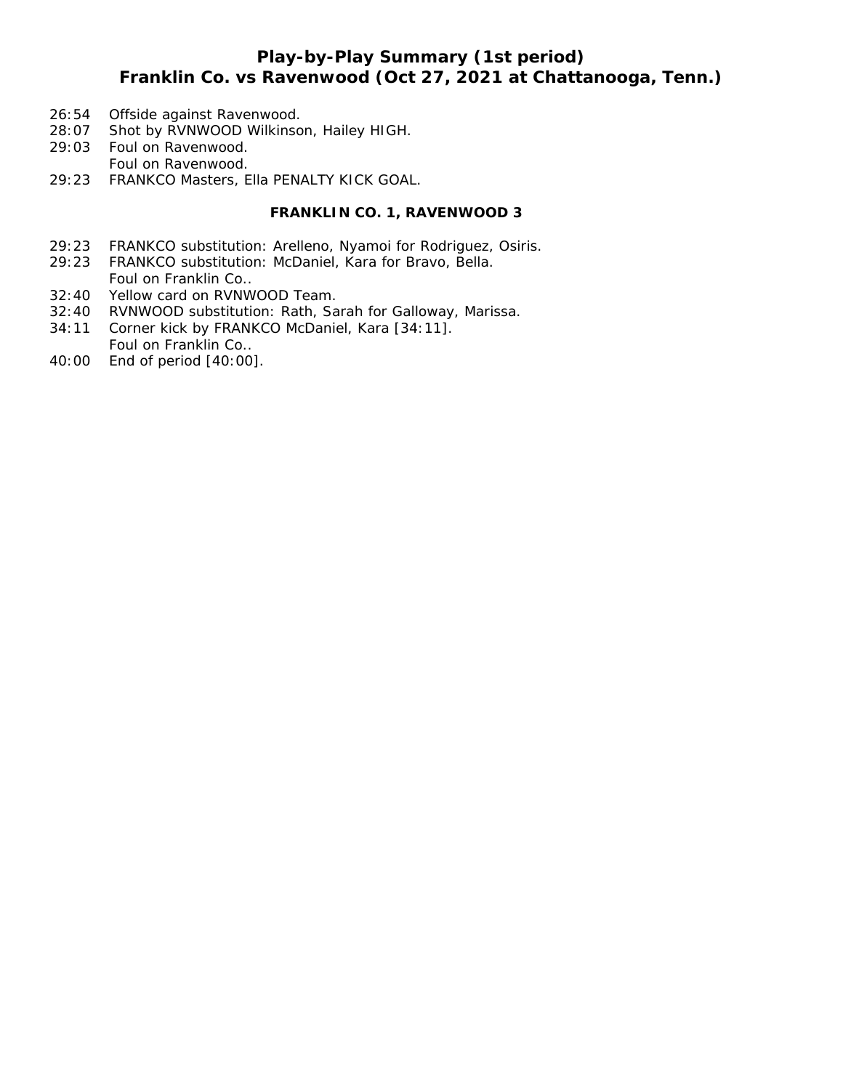# **Play-by-Play Summary (1st period) Franklin Co. vs Ravenwood (Oct 27, 2021 at Chattanooga, Tenn.)**

- 26:54 Offside against Ravenwood.
- 28:07 Shot by RVNWOOD Wilkinson, Hailey HIGH.
- 29:03 Foul on Ravenwood. Foul on Ravenwood.
- 29:23 FRANKCO Masters, Ella PENALTY KICK GOAL.

### **FRANKLIN CO. 1, RAVENWOOD 3**

- 29:23 FRANKCO substitution: Arelleno, Nyamoi for Rodriguez, Osiris.
- 29:23 FRANKCO substitution: McDaniel, Kara for Bravo, Bella. Foul on Franklin Co..
- 32:40 Yellow card on RVNWOOD Team.
- 32:40 RVNWOOD substitution: Rath, Sarah for Galloway, Marissa.
- 34:11 Corner kick by FRANKCO McDaniel, Kara [34:11]. Foul on Franklin Co..
- 40:00 End of period [40:00].